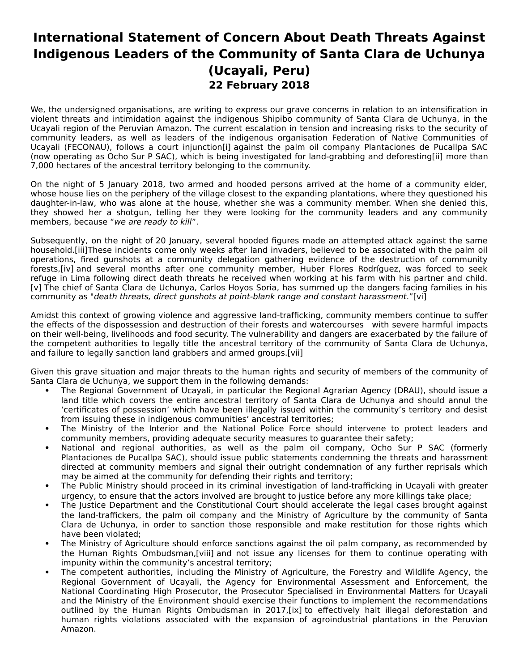## **International Statement of Concern About Death Threats Against Indigenous Leaders of the Community of Santa Clara de Uchunya (Ucayali, Peru) 22 February 2018**

We, the undersigned organisations, are writing to express our grave concerns in relation to an intensification in violent threats and intimidation against the indigenous Shipibo community of Santa Clara de Uchunya, in the Ucayali region of the Peruvian Amazon. The current escalation in tension and increasing risks to the security of community leaders, as well as leaders of the indigenous organisation Federation of Native Communities of Ucayali (FECONAU), follows a court injunction[i] against the palm oil company Plantaciones de Pucallpa SAC (now operating as Ocho Sur P SAC), which is being investigated for land-grabbing and deforesting[ii] more than 7,000 hectares of the ancestral territory belonging to the community.

On the night of 5 January 2018, two armed and hooded persons arrived at the home of a community elder, whose house lies on the periphery of the village closest to the expanding plantations, where they questioned his daughter-in-law, who was alone at the house, whether she was a community member. When she denied this, they showed her a shotgun, telling her they were looking for the community leaders and any community members, because "we are ready to kill".

Subsequently, on the night of 20 January, several hooded figures made an attempted attack against the same household.[iii]These incidents come only weeks after land invaders, believed to be associated with the palm oil operations, fired gunshots at a community delegation gathering evidence of the destruction of community forests,[iv] and several months after one community member, Huber Flores Rodríguez, was forced to seek refuge in Lima following direct death threats he received when working at his farm with his partner and child. [v] The chief of Santa Clara de Uchunya, Carlos Hoyos Soria, has summed up the dangers facing families in his community as "death threats, direct gunshots at point-blank range and constant harassment."[vi]

Amidst this context of growing violence and aggressive land-trafficking, community members continue to suffer the effects of the dispossession and destruction of their forests and watercourses with severe harmful impacts on their well-being, livelihoods and food security. The vulnerability and dangers are exacerbated by the failure of the competent authorities to legally title the ancestral territory of the community of Santa Clara de Uchunya, and failure to legally sanction land grabbers and armed groups.[vii]

Given this grave situation and major threats to the human rights and security of members of the community of Santa Clara de Uchunya, we support them in the following demands:

- The Regional Government of Ucayali, in particular the Regional Agrarian Agency (DRAU), should issue a land title which covers the entire ancestral territory of Santa Clara de Uchunya and should annul the 'certificates of possession' which have been illegally issued within the community's territory and desist from issuing these in indigenous communities' ancestral territories;
- The Ministry of the Interior and the National Police Force should intervene to protect leaders and community members, providing adequate security measures to guarantee their safety;
- National and regional authorities, as well as the palm oil company, Ocho Sur P SAC (formerly Plantaciones de Pucallpa SAC), should issue public statements condemning the threats and harassment directed at community members and signal their outright condemnation of any further reprisals which may be aimed at the community for defending their rights and territory;
- The Public Ministry should proceed in its criminal investigation of land-trafficking in Ucayali with greater urgency, to ensure that the actors involved are brought to justice before any more killings take place;
- The Justice Department and the Constitutional Court should accelerate the legal cases brought against the land-traffickers, the palm oil company and the Ministry of Agriculture by the community of Santa Clara de Uchunya, in order to sanction those responsible and make restitution for those rights which have been violated;
- The Ministry of Agriculture should enforce sanctions against the oil palm company, as recommended by the Human Rights Ombudsman,[viii] and not issue any licenses for them to continue operating with impunity within the community's ancestral territory;
- The competent authorities, including the Ministry of Agriculture, the Forestry and Wildlife Agency, the Regional Government of Ucayali, the Agency for Environmental Assessment and Enforcement, the National Coordinating High Prosecutor, the Prosecutor Specialised in Environmental Matters for Ucayali and the Ministry of the Environment should exercise their functions to implement the recommendations outlined by the Human Rights Ombudsman in 2017,[ix] to effectively halt illegal deforestation and human rights violations associated with the expansion of agroindustrial plantations in the Peruvian Amazon.